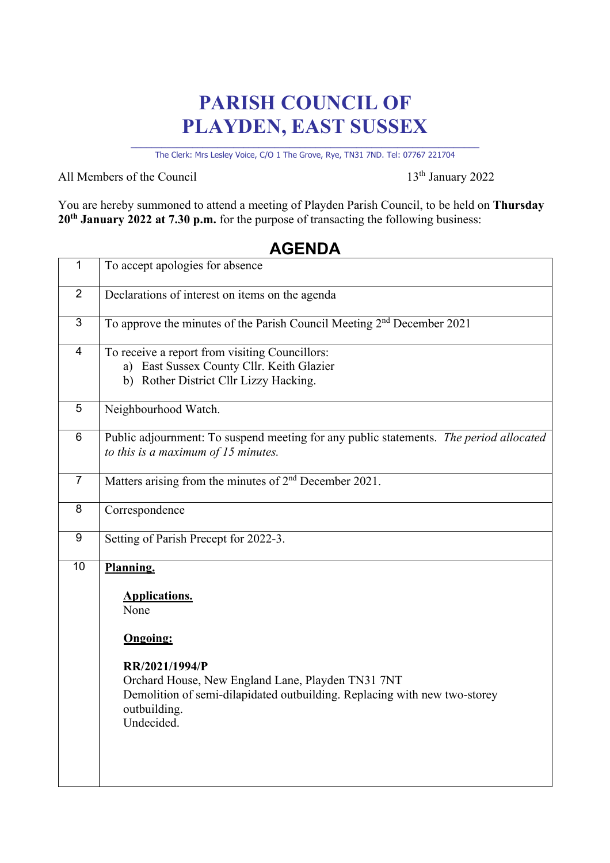## **PARISH COUNCIL OF PLAYDEN, EAST SUSSEX**

\_\_\_\_\_\_\_\_\_\_\_\_\_\_\_\_\_\_\_\_\_\_\_\_\_\_\_\_\_\_\_\_\_\_\_\_\_\_\_\_\_\_\_\_\_\_\_\_\_\_\_\_\_\_\_\_\_\_\_\_\_\_\_\_\_\_\_\_ The Clerk: Mrs Lesley Voice, C/O 1 The Grove, Rye, TN31 7ND. Tel: 07767 221704

All Members of the Council 13<sup>th</sup> January 2022

You are hereby summoned to attend a meeting of Playden Parish Council, to be held on **Thursday 20th January 2022 at 7.30 p.m.** for the purpose of transacting the following business:

# 1 To accept apologies for absence 2 Declarations of interest on items on the agenda 3 To approve the minutes of the Parish Council Meeting 2nd December 2021 4 To receive a report from visiting Councillors: a) East Sussex County Cllr. Keith Glazier b) Rother District Cllr Lizzy Hacking. 5 Neighbourhood Watch. 6 Public adjournment: To suspend meeting for any public statements. *The period allocated to this is a maximum of 15 minutes.* 7 Matters arising from the minutes of 2nd December 2021. 8 Correspondence 9 Setting of Parish Precept for 2022-3. 10 **Planning. Applications.** None **Ongoing: RR/2021/1994/P** Orchard House, New England Lane, Playden TN31 7NT Demolition of semi-dilapidated outbuilding. Replacing with new two-storey outbuilding. Undecided.

#### **AGENDA**